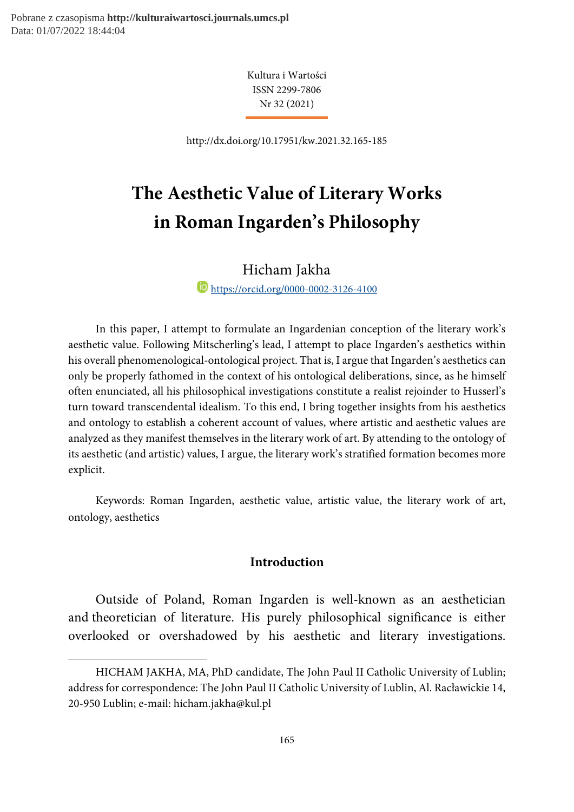1

Kultura i Wartości ISSN 2299-7806 Nr 32 (2021)

http://dx.doi.org/10.17951/kw.2021.32.165-185

# The Aesthetic Value of Literary Works in Roman Ingarden's Philosophy

Hicham Jakha<sup>1</sup>

**https://orcid.org/0000-0002-3126-4100** 

In this paper, I attempt to formulate an Ingardenian conception of the literary work's aesthetic value. Following Mitscherling's lead, I attempt to place Ingarden's aesthetics within his overall phenomenological-ontological project. That is, I argue that Ingarden's aesthetics can only be properly fathomed in the context of his ontological deliberations, since, as he himself often enunciated, all his philosophical investigations constitute a realist rejoinder to Husserl's turn toward transcendental idealism. To this end, I bring together insights from his aesthetics and ontology to establish a coherent account of values, where artistic and aesthetic values are analyzed as they manifest themselves in the literary work of art. By attending to the ontology of its aesthetic (and artistic) values, I argue, the literary work's stratified formation becomes more explicit.

Keywords: Roman Ingarden, aesthetic value, artistic value, the literary work of art, ontology, aesthetics

#### Introduction

Outside of Poland, Roman Ingarden is well-known as an aesthetician and theoretician of literature. His purely philosophical significance is either overlooked or overshadowed by his aesthetic and literary investigations.

HICHAM JAKHA, MA, PhD candidate, The John Paul II Catholic University of Lublin; address for correspondence: The John Paul II Catholic University of Lublin, Al. Racławickie 14, 20-950 Lublin; e-mail: hicham.jakha@kul.pl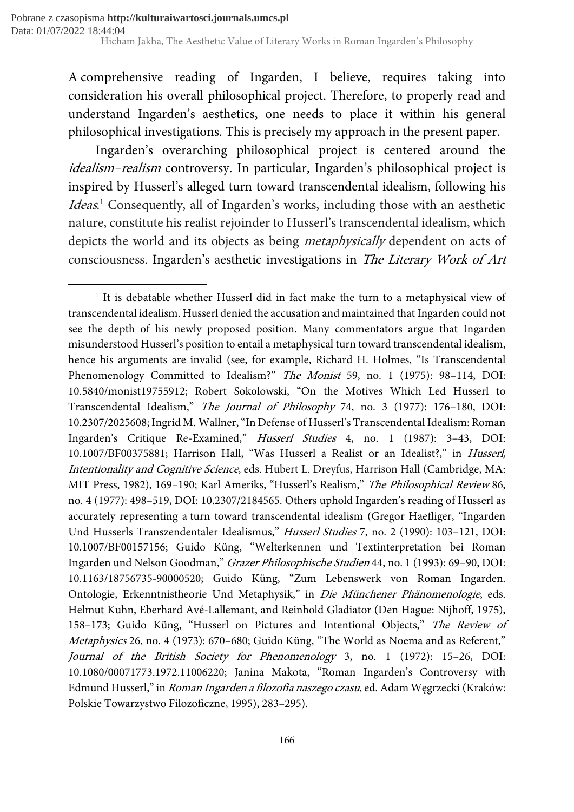1

A comprehensive reading of Ingarden, I believe, requires taking into consideration his overall philosophical project. Therefore, to properly read and understand Ingarden's aesthetics, one needs to place it within his general philosophical investigations. This is precisely my approach in the present paper.

Ingarden's overarching philosophical project is centered around the idealism–realism controversy. In particular, Ingarden's philosophical project is inspired by Husserl's alleged turn toward transcendental idealism, following his Ideas.<sup>1</sup> Consequently, all of Ingarden's works, including those with an aesthetic nature, constitute his realist rejoinder to Husserl's transcendental idealism, which depicts the world and its objects as being *metaphysically* dependent on acts of consciousness. Ingarden's aesthetic investigations in The Literary Work of Art

<sup>&</sup>lt;sup>1</sup> It is debatable whether Husserl did in fact make the turn to a metaphysical view of transcendental idealism. Husserl denied the accusation and maintained that Ingarden could not see the depth of his newly proposed position. Many commentators argue that Ingarden misunderstood Husserl's position to entail a metaphysical turn toward transcendental idealism, hence his arguments are invalid (see, for example, Richard H. Holmes, "Is Transcendental Phenomenology Committed to Idealism?" The Monist 59, no. 1 (1975): 98-114, DOI: 10.5840/monist19755912; Robert Sokolowski, "On the Motives Which Led Husserl to Transcendental Idealism," The Journal of Philosophy 74, no. 3 (1977): 176–180, DOI: 10.2307/2025608; Ingrid M. Wallner, "In Defense of Husserl's Transcendental Idealism: Roman Ingarden's Critique Re-Examined," Husserl Studies 4, no. 1 (1987): 3–43, DOI: 10.1007/BF00375881; Harrison Hall, "Was Husserl a Realist or an Idealist?," in Husserl, Intentionality and Cognitive Science, eds. Hubert L. Dreyfus, Harrison Hall (Cambridge, MA: MIT Press, 1982), 169–190; Karl Ameriks, "Husserl's Realism," The Philosophical Review 86, no. 4 (1977): 498–519, DOI: 10.2307/2184565. Others uphold Ingarden's reading of Husserl as accurately representing a turn toward transcendental idealism (Gregor Haefliger, "Ingarden Und Husserls Transzendentaler Idealismus," Husserl Studies 7, no. 2 (1990): 103–121, DOI: 10.1007/BF00157156; Guido Küng, "Welterkennen und Textinterpretation bei Roman Ingarden und Nelson Goodman," Grazer Philosophische Studien 44, no. 1 (1993): 69–90, DOI: 10.1163/18756735-90000520; Guido Küng, "Zum Lebenswerk von Roman Ingarden. Ontologie, Erkenntnistheorie Und Metaphysik," in Die Münchener Phänomenologie, eds. Helmut Kuhn, Eberhard Avé-Lallemant, and Reinhold Gladiator (Den Hague: Nijhoff, 1975), 158–173; Guido Küng, "Husserl on Pictures and Intentional Objects," The Review of Metaphysics 26, no. 4 (1973): 670–680; Guido Küng, "The World as Noema and as Referent," Journal of the British Society for Phenomenology 3, no. 1 (1972): 15–26, DOI: 10.1080/00071773.1972.11006220; Janina Makota, "Roman Ingarden's Controversy with Edmund Husserl," in Roman Ingarden a filozofia naszego czasu, ed. Adam Węgrzecki (Kraków: Polskie Towarzystwo Filozoficzne, 1995), 283–295).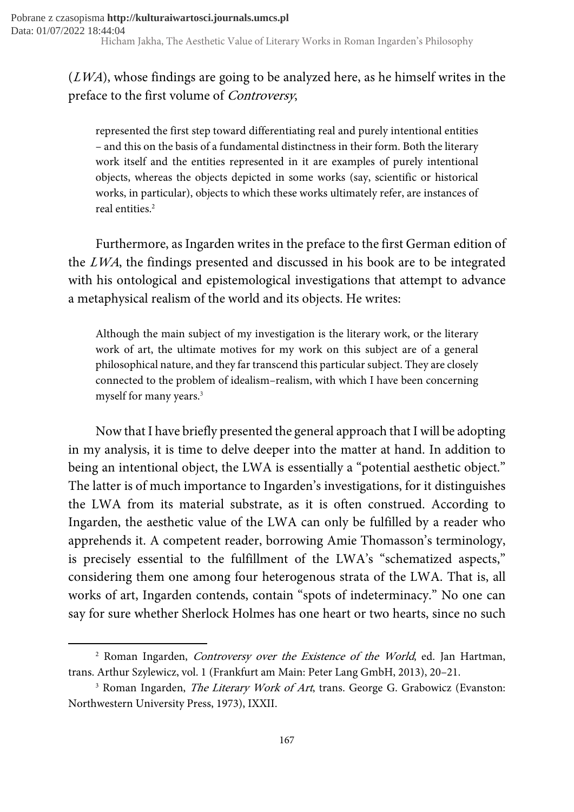## $(LWA)$ , whose findings are going to be analyzed here, as he himself writes in the preface to the first volume of Controversy,

represented the first step toward differentiating real and purely intentional entities – and this on the basis of a fundamental distinctness in their form. Both the literary work itself and the entities represented in it are examples of purely intentional objects, whereas the objects depicted in some works (say, scientific or historical works, in particular), objects to which these works ultimately refer, are instances of real entities.<sup>2</sup>

Furthermore, as Ingarden writes in the preface to the first German edition of the LWA, the findings presented and discussed in his book are to be integrated with his ontological and epistemological investigations that attempt to advance a metaphysical realism of the world and its objects. He writes:

Although the main subject of my investigation is the literary work, or the literary work of art, the ultimate motives for my work on this subject are of a general philosophical nature, and they far transcend this particular subject. They are closely connected to the problem of idealism–realism, with which I have been concerning myself for many years.<sup>3</sup>

Now that I have briefly presented the general approach that I will be adopting in my analysis, it is time to delve deeper into the matter at hand. In addition to being an intentional object, the LWA is essentially a "potential aesthetic object." The latter is of much importance to Ingarden's investigations, for it distinguishes the LWA from its material substrate, as it is often construed. According to Ingarden, the aesthetic value of the LWA can only be fulfilled by a reader who apprehends it. A competent reader, borrowing Amie Thomasson's terminology, is precisely essential to the fulfillment of the LWA's "schematized aspects," considering them one among four heterogenous strata of the LWA. That is, all works of art, Ingarden contends, contain "spots of indeterminacy." No one can say for sure whether Sherlock Holmes has one heart or two hearts, since no such

<sup>&</sup>lt;sup>2</sup> Roman Ingarden, *Controversy over the Existence of the World*, ed. Jan Hartman, trans. Arthur Szylewicz, vol. 1 (Frankfurt am Main: Peter Lang GmbH, 2013), 20–21.

<sup>&</sup>lt;sup>3</sup> Roman Ingarden, *The Literary Work of Art*, trans. George G. Grabowicz (Evanston: Northwestern University Press, 1973), IXXII.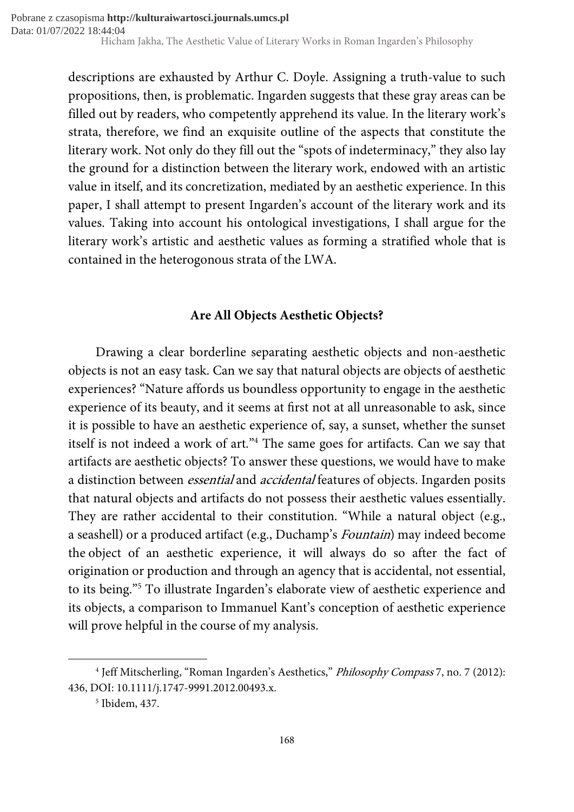descriptions are exhausted by Arthur C. Doyle. Assigning a truth-value to such propositions, then, is problematic. Ingarden suggests that these gray areas can be filled out by readers, who competently apprehend its value. In the literary work's strata, therefore, we find an exquisite outline of the aspects that constitute the literary work. Not only do they fill out the "spots of indeterminacy," they also lay the ground for a distinction between the literary work, endowed with an artistic value in itself, and its concretization, mediated by an aesthetic experience. In this paper, I shall attempt to present Ingarden's account of the literary work and its values. Taking into account his ontological investigations, I shall argue for the literary work's artistic and aesthetic values as forming a stratified whole that is contained in the heterogonous strata of the LWA.

## Are All Objects Aesthetic Objects?

Drawing a clear borderline separating aesthetic objects and non-aesthetic objects is not an easy task. Can we say that natural objects are objects of aesthetic experiences? "Nature affords us boundless opportunity to engage in the aesthetic experience of its beauty, and it seems at first not at all unreasonable to ask, since it is possible to have an aesthetic experience of, say, a sunset, whether the sunset itself is not indeed a work of art."<sup>4</sup> The same goes for artifacts. Can we say that artifacts are aesthetic objects? To answer these questions, we would have to make a distinction between essential and accidental features of objects. Ingarden posits that natural objects and artifacts do not possess their aesthetic values essentially. They are rather accidental to their constitution. "While a natural object (e.g., a seashell) or a produced artifact (e.g., Duchamp's Fountain) may indeed become the object of an aesthetic experience, it will always do so after the fact of origination or production and through an agency that is accidental, not essential, to its being."<sup>5</sup> To illustrate Ingarden's elaborate view of aesthetic experience and its objects, a comparison to Immanuel Kant's conception of aesthetic experience will prove helpful in the course of my analysis.

<sup>&</sup>lt;sup>4</sup> Jeff Mitscherling, "Roman Ingarden's Aesthetics," *Philosophy Compass* 7, no. 7 (2012): 436, DOI: 10.1111/j.1747-9991.2012.00493.x.

<sup>5</sup> Ibidem, 437.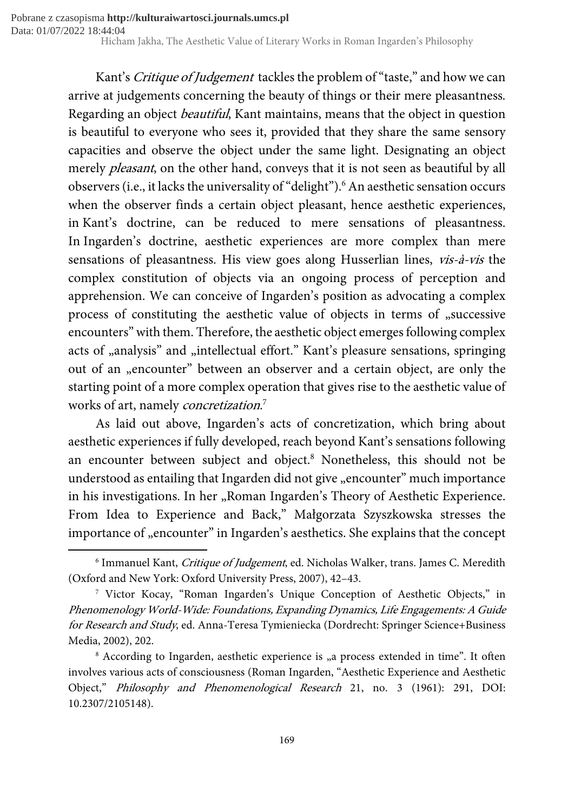> Kant's Critique of Judgement tackles the problem of "taste," and how we can arrive at judgements concerning the beauty of things or their mere pleasantness. Regarding an object beautiful, Kant maintains, means that the object in question is beautiful to everyone who sees it, provided that they share the same sensory capacities and observe the object under the same light. Designating an object merely *pleasant*, on the other hand, conveys that it is not seen as beautiful by all observers (i.e., it lacks the universality of "delight").<sup>6</sup> An aesthetic sensation occurs when the observer finds a certain object pleasant, hence aesthetic experiences, in Kant's doctrine, can be reduced to mere sensations of pleasantness. In Ingarden's doctrine, aesthetic experiences are more complex than mere sensations of pleasantness. His view goes along Husserlian lines, vis-à-vis the complex constitution of objects via an ongoing process of perception and apprehension. We can conceive of Ingarden's position as advocating a complex process of constituting the aesthetic value of objects in terms of "successive encounters" with them. Therefore, the aesthetic object emerges following complex acts of "analysis" and "intellectual effort." Kant's pleasure sensations, springing out of an "encounter" between an observer and a certain object, are only the starting point of a more complex operation that gives rise to the aesthetic value of works of art, namely *concretization*.<sup>7</sup>

> As laid out above, Ingarden's acts of concretization, which bring about aesthetic experiences if fully developed, reach beyond Kant's sensations following an encounter between subject and object.<sup>8</sup> Nonetheless, this should not be understood as entailing that Ingarden did not give "encounter" much importance in his investigations. In her "Roman Ingarden's Theory of Aesthetic Experience. From Idea to Experience and Back," Małgorzata Szyszkowska stresses the importance of "encounter" in Ingarden's aesthetics. She explains that the concept

 $^{\rm 6}$  Immanuel Kant, *Critique of Judgement*, ed. Nicholas Walker, trans. James C. Meredith (Oxford and New York: Oxford University Press, 2007), 42–43.

<sup>7</sup> Victor Kocay, "Roman Ingarden's Unique Conception of Aesthetic Objects," in Phenomenology World-Wide: Foundations, Expanding Dynamics, Life Engagements: A Guide for Research and Study, ed. Anna-Teresa Tymieniecka (Dordrecht: Springer Science+Business Media, 2002), 202.

<sup>&</sup>lt;sup>8</sup> According to Ingarden, aesthetic experience is "a process extended in time". It often involves various acts of consciousness (Roman Ingarden, "Aesthetic Experience and Aesthetic Object," Philosophy and Phenomenological Research 21, no. 3 (1961): 291, DOI: 10.2307/2105148).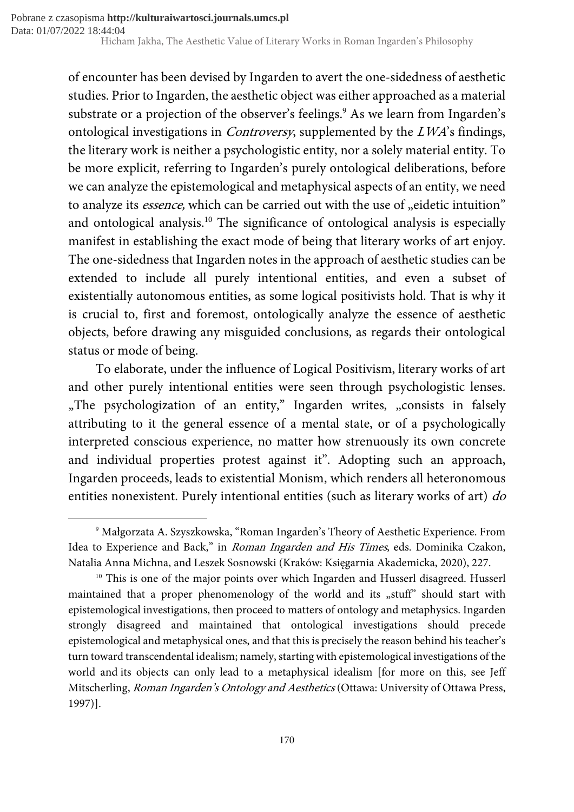of encounter has been devised by Ingarden to avert the one-sidedness of aesthetic studies. Prior to Ingarden, the aesthetic object was either approached as a material substrate or a projection of the observer's feelings.<sup>9</sup> As we learn from Ingarden's ontological investigations in Controversy, supplemented by the LWA's findings, the literary work is neither a psychologistic entity, nor a solely material entity. To be more explicit, referring to Ingarden's purely ontological deliberations, before we can analyze the epistemological and metaphysical aspects of an entity, we need to analyze its *essence*, which can be carried out with the use of "eidetic intuition" and ontological analysis.<sup>10</sup> The significance of ontological analysis is especially manifest in establishing the exact mode of being that literary works of art enjoy. The one-sidedness that Ingarden notes in the approach of aesthetic studies can be extended to include all purely intentional entities, and even a subset of existentially autonomous entities, as some logical positivists hold. That is why it is crucial to, first and foremost, ontologically analyze the essence of aesthetic objects, before drawing any misguided conclusions, as regards their ontological status or mode of being.

To elaborate, under the influence of Logical Positivism, literary works of art and other purely intentional entities were seen through psychologistic lenses. "The psychologization of an entity," Ingarden writes, "consists in falsely attributing to it the general essence of a mental state, or of a psychologically interpreted conscious experience, no matter how strenuously its own concrete and individual properties protest against it". Adopting such an approach, Ingarden proceeds, leads to existential Monism, which renders all heteronomous entities nonexistent. Purely intentional entities (such as literary works of art) do

<sup>9</sup> Małgorzata A. Szyszkowska, "Roman Ingarden's Theory of Aesthetic Experience. From Idea to Experience and Back," in Roman Ingarden and His Times, eds. Dominika Czakon, Natalia Anna Michna, and Leszek Sosnowski (Kraków: Księgarnia Akademicka, 2020), 227.

<sup>&</sup>lt;sup>10</sup> This is one of the major points over which Ingarden and Husserl disagreed. Husserl maintained that a proper phenomenology of the world and its "stuff" should start with epistemological investigations, then proceed to matters of ontology and metaphysics. Ingarden strongly disagreed and maintained that ontological investigations should precede epistemological and metaphysical ones, and that this is precisely the reason behind his teacher's turn toward transcendental idealism; namely, starting with epistemological investigations of the world and its objects can only lead to a metaphysical idealism [for more on this, see Jeff Mitscherling, Roman Ingarden's Ontology and Aesthetics (Ottawa: University of Ottawa Press, 1997)].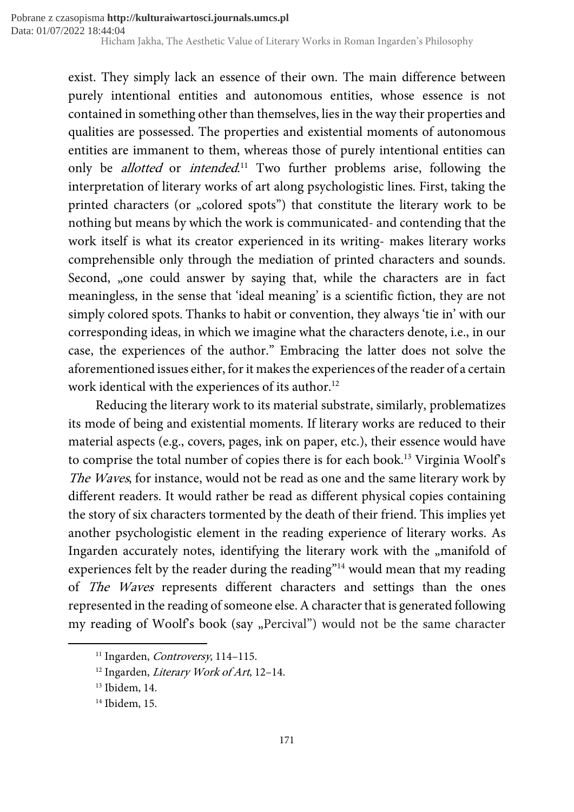> exist. They simply lack an essence of their own. The main difference between purely intentional entities and autonomous entities, whose essence is not contained in something other than themselves, lies in the way their properties and qualities are possessed. The properties and existential moments of autonomous entities are immanent to them, whereas those of purely intentional entities can only be *allotted* or *intended*.<sup>11</sup> Two further problems arise, following the interpretation of literary works of art along psychologistic lines. First, taking the printed characters (or "colored spots") that constitute the literary work to be nothing but means by which the work is communicated- and contending that the work itself is what its creator experienced in its writing- makes literary works comprehensible only through the mediation of printed characters and sounds. Second, "one could answer by saying that, while the characters are in fact meaningless, in the sense that 'ideal meaning' is a scientific fiction, they are not simply colored spots. Thanks to habit or convention, they always 'tie in' with our corresponding ideas, in which we imagine what the characters denote, i.e., in our case, the experiences of the author." Embracing the latter does not solve the aforementioned issues either, for it makes the experiences of the reader of a certain work identical with the experiences of its author.<sup>12</sup>

> Reducing the literary work to its material substrate, similarly, problematizes its mode of being and existential moments. If literary works are reduced to their material aspects (e.g., covers, pages, ink on paper, etc.), their essence would have to comprise the total number of copies there is for each book.<sup>13</sup> Virginia Woolf's The Waves, for instance, would not be read as one and the same literary work by different readers. It would rather be read as different physical copies containing the story of six characters tormented by the death of their friend. This implies yet another psychologistic element in the reading experience of literary works. As Ingarden accurately notes, identifying the literary work with the "manifold of experiences felt by the reader during the reading"<sup>14</sup> would mean that my reading of The Waves represents different characters and settings than the ones represented in the reading of someone else. A character that is generated following my reading of Woolf's book (say "Percival") would not be the same character

<sup>&</sup>lt;sup>11</sup> Ingarden, *Controversy*, 114-115.

<sup>&</sup>lt;sup>12</sup> Ingarden, *Literary Work of Art*, 12–14.

<sup>&</sup>lt;sup>13</sup> Ibidem, 14.

<sup>14</sup> Ibidem, 15.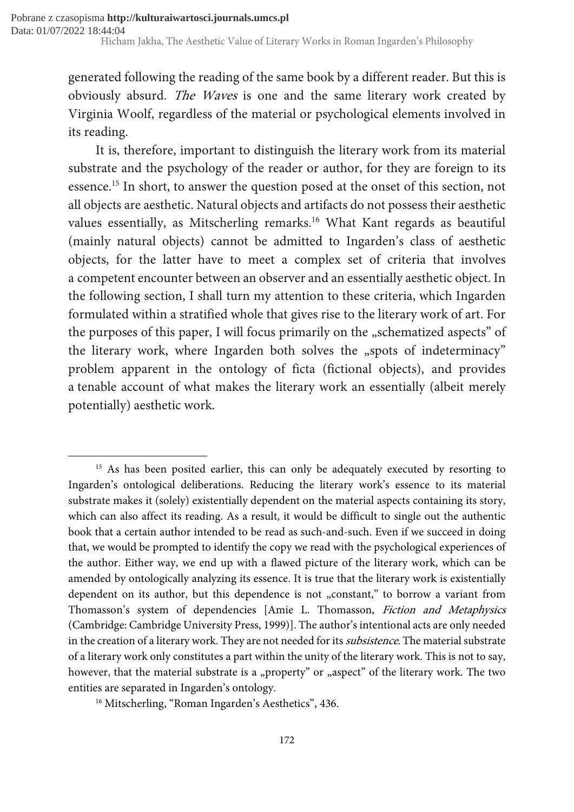generated following the reading of the same book by a different reader. But this is obviously absurd. The Waves is one and the same literary work created by Virginia Woolf, regardless of the material or psychological elements involved in its reading.

It is, therefore, important to distinguish the literary work from its material substrate and the psychology of the reader or author, for they are foreign to its essence.<sup>15</sup> In short, to answer the question posed at the onset of this section, not all objects are aesthetic. Natural objects and artifacts do not possess their aesthetic values essentially, as Mitscherling remarks.<sup>16</sup> What Kant regards as beautiful (mainly natural objects) cannot be admitted to Ingarden's class of aesthetic objects, for the latter have to meet a complex set of criteria that involves a competent encounter between an observer and an essentially aesthetic object. In the following section, I shall turn my attention to these criteria, which Ingarden formulated within a stratified whole that gives rise to the literary work of art. For the purposes of this paper, I will focus primarily on the "schematized aspects" of the literary work, where Ingarden both solves the "spots of indeterminacy" problem apparent in the ontology of ficta (fictional objects), and provides a tenable account of what makes the literary work an essentially (albeit merely potentially) aesthetic work.

<sup>16</sup> Mitscherling, "Roman Ingarden's Aesthetics", 436.

<sup>&</sup>lt;sup>15</sup> As has been posited earlier, this can only be adequately executed by resorting to Ingarden's ontological deliberations. Reducing the literary work's essence to its material substrate makes it (solely) existentially dependent on the material aspects containing its story, which can also affect its reading. As a result, it would be difficult to single out the authentic book that a certain author intended to be read as such-and-such. Even if we succeed in doing that, we would be prompted to identify the copy we read with the psychological experiences of the author. Either way, we end up with a flawed picture of the literary work, which can be amended by ontologically analyzing its essence. It is true that the literary work is existentially dependent on its author, but this dependence is not "constant," to borrow a variant from Thomasson's system of dependencies [Amie L. Thomasson, Fiction and Metaphysics (Cambridge: Cambridge University Press, 1999)]. The author's intentional acts are only needed in the creation of a literary work. They are not needed for its *subsistence*. The material substrate of a literary work only constitutes a part within the unity of the literary work. This is not to say, however, that the material substrate is a "property" or "aspect" of the literary work. The two entities are separated in Ingarden's ontology.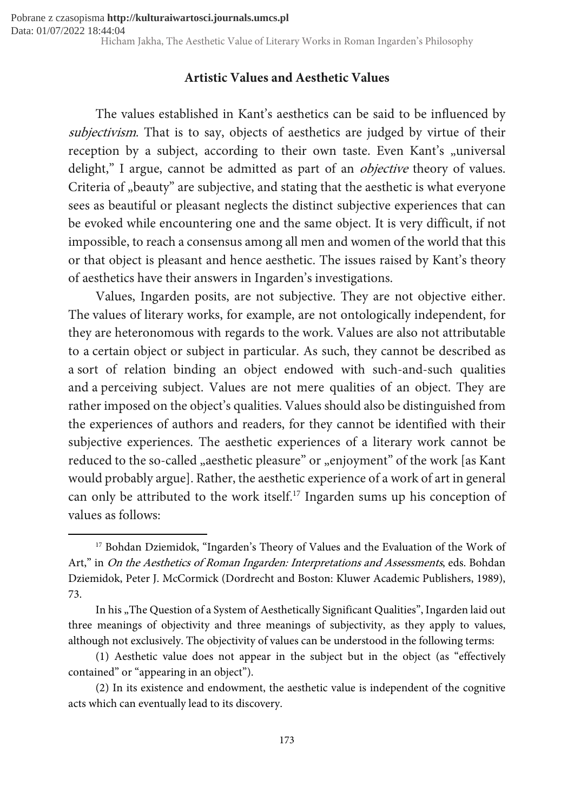### Artistic Values and Aesthetic Values

The values established in Kant's aesthetics can be said to be influenced by subjectivism. That is to say, objects of aesthetics are judged by virtue of their reception by a subject, according to their own taste. Even Kant's "universal delight," I argue, cannot be admitted as part of an *objective* theory of values. Criteria of "beauty" are subjective, and stating that the aesthetic is what everyone sees as beautiful or pleasant neglects the distinct subjective experiences that can be evoked while encountering one and the same object. It is very difficult, if not impossible, to reach a consensus among all men and women of the world that this or that object is pleasant and hence aesthetic. The issues raised by Kant's theory of aesthetics have their answers in Ingarden's investigations.

Values, Ingarden posits, are not subjective. They are not objective either. The values of literary works, for example, are not ontologically independent, for they are heteronomous with regards to the work. Values are also not attributable to a certain object or subject in particular. As such, they cannot be described as a sort of relation binding an object endowed with such-and-such qualities and a perceiving subject. Values are not mere qualities of an object. They are rather imposed on the object's qualities. Values should also be distinguished from the experiences of authors and readers, for they cannot be identified with their subjective experiences. The aesthetic experiences of a literary work cannot be reduced to the so-called "aesthetic pleasure" or "enjoyment" of the work [as Kant would probably argue]. Rather, the aesthetic experience of a work of art in general can only be attributed to the work itself.<sup>17</sup> Ingarden sums up his conception of values as follows:

<sup>17</sup> Bohdan Dziemidok, "Ingarden's Theory of Values and the Evaluation of the Work of Art," in On the Aesthetics of Roman Ingarden: Interpretations and Assessments, eds. Bohdan Dziemidok, Peter J. McCormick (Dordrecht and Boston: Kluwer Academic Publishers, 1989), 73.

In his "The Question of a System of Aesthetically Significant Qualities", Ingarden laid out three meanings of objectivity and three meanings of subjectivity, as they apply to values, although not exclusively. The objectivity of values can be understood in the following terms:

<sup>(1)</sup> Aesthetic value does not appear in the subject but in the object (as "effectively contained" or "appearing in an object").

<sup>(2)</sup> In its existence and endowment, the aesthetic value is independent of the cognitive acts which can eventually lead to its discovery.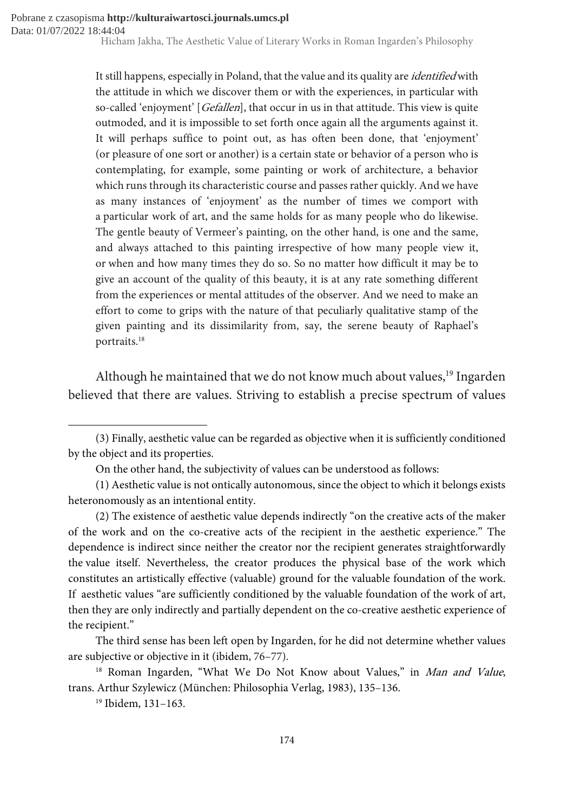It still happens, especially in Poland, that the value and its quality are *identified* with the attitude in which we discover them or with the experiences, in particular with so-called 'enjoyment' [Gefallen], that occur in us in that attitude. This view is quite outmoded, and it is impossible to set forth once again all the arguments against it. It will perhaps suffice to point out, as has often been done, that 'enjoyment' (or pleasure of one sort or another) is a certain state or behavior of a person who is contemplating, for example, some painting or work of architecture, a behavior which runs through its characteristic course and passes rather quickly. And we have as many instances of 'enjoyment' as the number of times we comport with a particular work of art, and the same holds for as many people who do likewise. The gentle beauty of Vermeer's painting, on the other hand, is one and the same, and always attached to this painting irrespective of how many people view it, or when and how many times they do so. So no matter how difficult it may be to give an account of the quality of this beauty, it is at any rate something different from the experiences or mental attitudes of the observer. And we need to make an effort to come to grips with the nature of that peculiarly qualitative stamp of the given painting and its dissimilarity from, say, the serene beauty of Raphael's portraits.<sup>18</sup>

Although he maintained that we do not know much about values,<sup>19</sup> Ingarden believed that there are values. Striving to establish a precise spectrum of values

<sup>19</sup> Ibidem, 131–163.

<sup>(3)</sup> Finally, aesthetic value can be regarded as objective when it is sufficiently conditioned by the object and its properties.

On the other hand, the subjectivity of values can be understood as follows:

<sup>(1)</sup> Aesthetic value is not ontically autonomous, since the object to which it belongs exists heteronomously as an intentional entity.

<sup>(2)</sup> The existence of aesthetic value depends indirectly "on the creative acts of the maker of the work and on the co-creative acts of the recipient in the aesthetic experience." The dependence is indirect since neither the creator nor the recipient generates straightforwardly the value itself. Nevertheless, the creator produces the physical base of the work which constitutes an artistically effective (valuable) ground for the valuable foundation of the work. If aesthetic values "are sufficiently conditioned by the valuable foundation of the work of art, then they are only indirectly and partially dependent on the co-creative aesthetic experience of the recipient."

The third sense has been left open by Ingarden, for he did not determine whether values are subjective or objective in it (ibidem, 76–77).

<sup>&</sup>lt;sup>18</sup> Roman Ingarden, "What We Do Not Know about Values," in Man and Value, trans. Arthur Szylewicz (München: Philosophia Verlag, 1983), 135–136.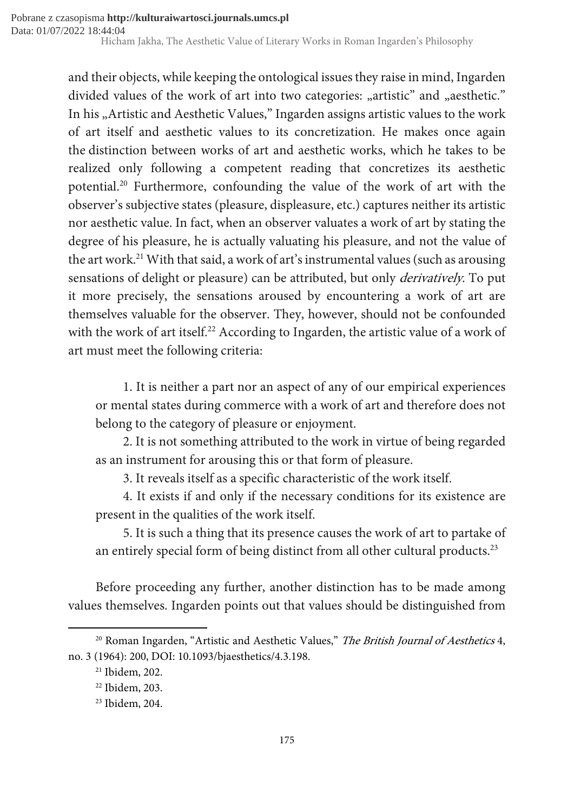and their objects, while keeping the ontological issues they raise in mind, Ingarden divided values of the work of art into two categories: "artistic" and "aesthetic." In his "Artistic and Aesthetic Values," Ingarden assigns artistic values to the work of art itself and aesthetic values to its concretization. He makes once again the distinction between works of art and aesthetic works, which he takes to be realized only following a competent reading that concretizes its aesthetic potential.<sup>20</sup> Furthermore, confounding the value of the work of art with the observer's subjective states (pleasure, displeasure, etc.) captures neither its artistic nor aesthetic value. In fact, when an observer valuates a work of art by stating the degree of his pleasure, he is actually valuating his pleasure, and not the value of the art work.<sup>21</sup> With that said, a work of art's instrumental values (such as arousing sensations of delight or pleasure) can be attributed, but only *derivatively*. To put it more precisely, the sensations aroused by encountering a work of art are themselves valuable for the observer. They, however, should not be confounded with the work of art itself.<sup>22</sup> According to Ingarden, the artistic value of a work of art must meet the following criteria:

1. It is neither a part nor an aspect of any of our empirical experiences or mental states during commerce with a work of art and therefore does not belong to the category of pleasure or enjoyment.

2. It is not something attributed to the work in virtue of being regarded as an instrument for arousing this or that form of pleasure.

3. It reveals itself as a specific characteristic of the work itself.

4. It exists if and only if the necessary conditions for its existence are present in the qualities of the work itself.

5. It is such a thing that its presence causes the work of art to partake of an entirely special form of being distinct from all other cultural products.<sup>23</sup>

Before proceeding any further, another distinction has to be made among values themselves. Ingarden points out that values should be distinguished from

 $20$  Roman Ingarden, "Artistic and Aesthetic Values," The British Journal of Aesthetics 4, no. 3 (1964): 200, DOI: 10.1093/bjaesthetics/4.3.198.

<sup>21</sup> Ibidem, 202.

<sup>22</sup> Ibidem, 203.

<sup>23</sup> Ibidem, 204.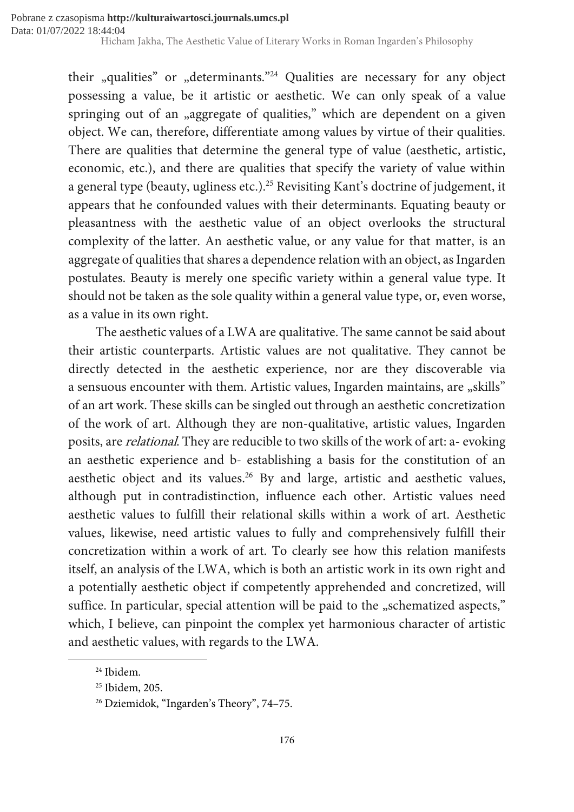their "qualities" or "determinants."<sup>24</sup> Qualities are necessary for any object possessing a value, be it artistic or aesthetic. We can only speak of a value springing out of an "aggregate of qualities," which are dependent on a given object. We can, therefore, differentiate among values by virtue of their qualities. There are qualities that determine the general type of value (aesthetic, artistic, economic, etc.), and there are qualities that specify the variety of value within a general type (beauty, ugliness etc.).<sup>25</sup> Revisiting Kant's doctrine of judgement, it appears that he confounded values with their determinants. Equating beauty or pleasantness with the aesthetic value of an object overlooks the structural complexity of the latter. An aesthetic value, or any value for that matter, is an aggregate of qualities that shares a dependence relation with an object, as Ingarden postulates. Beauty is merely one specific variety within a general value type. It should not be taken as the sole quality within a general value type, or, even worse, as a value in its own right.

The aesthetic values of a LWA are qualitative. The same cannot be said about their artistic counterparts. Artistic values are not qualitative. They cannot be directly detected in the aesthetic experience, nor are they discoverable via a sensuous encounter with them. Artistic values, Ingarden maintains, are "skills" of an art work. These skills can be singled out through an aesthetic concretization of the work of art. Although they are non-qualitative, artistic values, Ingarden posits, are relational. They are reducible to two skills of the work of art: a- evoking an aesthetic experience and b- establishing a basis for the constitution of an aesthetic object and its values.<sup>26</sup> By and large, artistic and aesthetic values, although put in contradistinction, influence each other. Artistic values need aesthetic values to fulfill their relational skills within a work of art. Aesthetic values, likewise, need artistic values to fully and comprehensively fulfill their concretization within a work of art. To clearly see how this relation manifests itself, an analysis of the LWA, which is both an artistic work in its own right and a potentially aesthetic object if competently apprehended and concretized, will suffice. In particular, special attention will be paid to the "schematized aspects," which, I believe, can pinpoint the complex yet harmonious character of artistic and aesthetic values, with regards to the LWA.

<sup>24</sup> Ibidem.

<sup>&</sup>lt;sup>25</sup> Ibidem, 205.

<sup>26</sup> Dziemidok, "Ingarden's Theory", 74–75.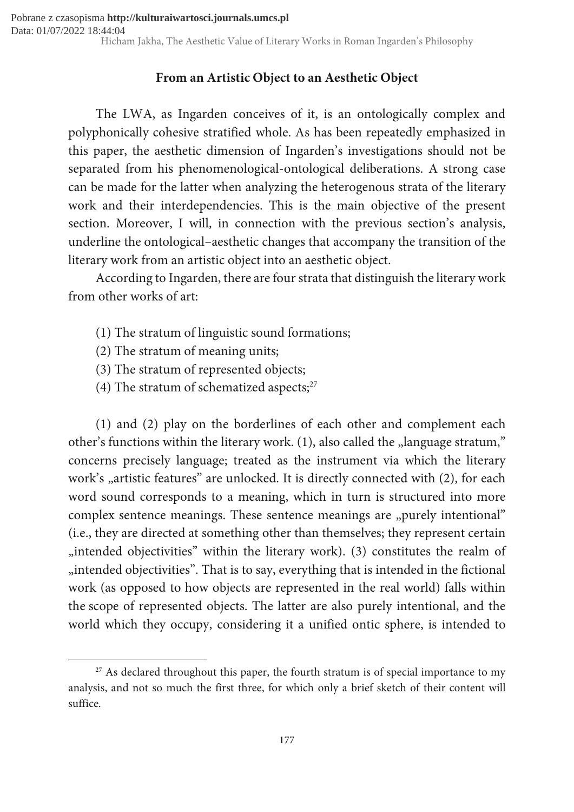## From an Artistic Object to an Aesthetic Object

The LWA, as Ingarden conceives of it, is an ontologically complex and polyphonically cohesive stratified whole. As has been repeatedly emphasized in this paper, the aesthetic dimension of Ingarden's investigations should not be separated from his phenomenological-ontological deliberations. A strong case can be made for the latter when analyzing the heterogenous strata of the literary work and their interdependencies. This is the main objective of the present section. Moreover, I will, in connection with the previous section's analysis, underline the ontological–aesthetic changes that accompany the transition of the literary work from an artistic object into an aesthetic object.

According to Ingarden, there are four strata that distinguish the literary work from other works of art:

- (1) The stratum of linguistic sound formations;
- (2) The stratum of meaning units;

1

- (3) The stratum of represented objects;
- (4) The stratum of schematized aspects; $27$

(1) and (2) play on the borderlines of each other and complement each other's functions within the literary work. (1), also called the "language stratum," concerns precisely language; treated as the instrument via which the literary work's "artistic features" are unlocked. It is directly connected with (2), for each word sound corresponds to a meaning, which in turn is structured into more complex sentence meanings. These sentence meanings are "purely intentional" (i.e., they are directed at something other than themselves; they represent certain "intended objectivities" within the literary work). (3) constitutes the realm of "intended objectivities". That is to say, everything that is intended in the fictional work (as opposed to how objects are represented in the real world) falls within the scope of represented objects. The latter are also purely intentional, and the world which they occupy, considering it a unified ontic sphere, is intended to

 $27$  As declared throughout this paper, the fourth stratum is of special importance to my analysis, and not so much the first three, for which only a brief sketch of their content will suffice.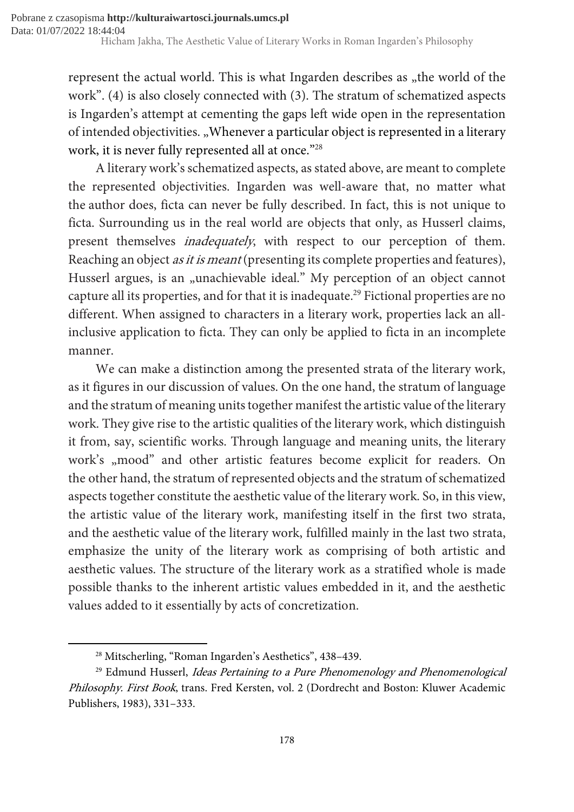represent the actual world. This is what Ingarden describes as "the world of the work". (4) is also closely connected with (3). The stratum of schematized aspects is Ingarden's attempt at cementing the gaps left wide open in the representation of intended objectivities. "Whenever a particular object is represented in a literary work, it is never fully represented all at once."<sup>28</sup>

A literary work's schematized aspects, as stated above, are meant to complete the represented objectivities. Ingarden was well-aware that, no matter what the author does, ficta can never be fully described. In fact, this is not unique to ficta. Surrounding us in the real world are objects that only, as Husserl claims, present themselves *inadequately*, with respect to our perception of them. Reaching an object *as it is meant* (presenting its complete properties and features), Husserl argues, is an "unachievable ideal." My perception of an object cannot capture all its properties, and for that it is inadequate.<sup>29</sup> Fictional properties are no different. When assigned to characters in a literary work, properties lack an allinclusive application to ficta. They can only be applied to ficta in an incomplete manner.

We can make a distinction among the presented strata of the literary work, as it figures in our discussion of values. On the one hand, the stratum of language and the stratum of meaning units together manifest the artistic value of the literary work. They give rise to the artistic qualities of the literary work, which distinguish it from, say, scientific works. Through language and meaning units, the literary work's "mood" and other artistic features become explicit for readers. On the other hand, the stratum of represented objects and the stratum of schematized aspects together constitute the aesthetic value of the literary work. So, in this view, the artistic value of the literary work, manifesting itself in the first two strata, and the aesthetic value of the literary work, fulfilled mainly in the last two strata, emphasize the unity of the literary work as comprising of both artistic and aesthetic values. The structure of the literary work as a stratified whole is made possible thanks to the inherent artistic values embedded in it, and the aesthetic values added to it essentially by acts of concretization.

<sup>28</sup> Mitscherling, "Roman Ingarden's Aesthetics", 438–439.

<sup>&</sup>lt;sup>29</sup> Edmund Husserl, *Ideas Pertaining to a Pure Phenomenology and Phenomenological* Philosophy. First Book, trans. Fred Kersten, vol. 2 (Dordrecht and Boston: Kluwer Academic Publishers, 1983), 331–333.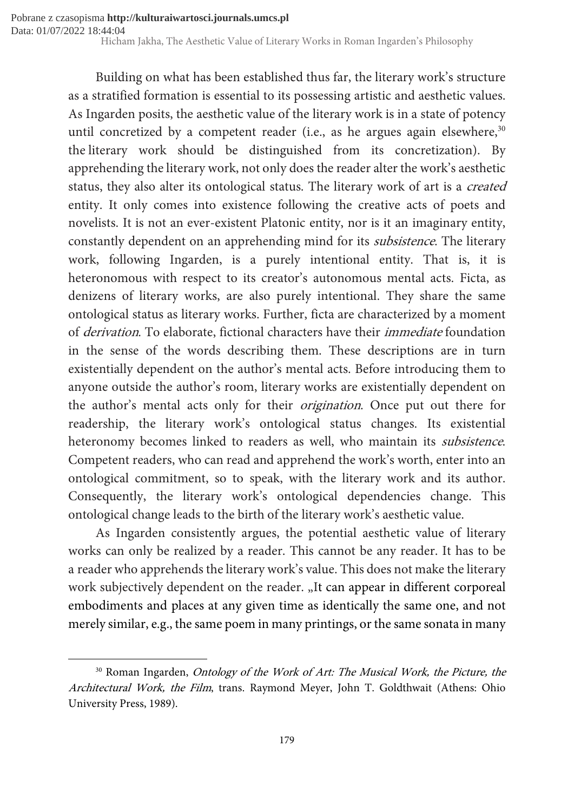> Building on what has been established thus far, the literary work's structure as a stratified formation is essential to its possessing artistic and aesthetic values. As Ingarden posits, the aesthetic value of the literary work is in a state of potency until concretized by a competent reader (i.e., as he argues again elsewhere,  $30$ the literary work should be distinguished from its concretization). By apprehending the literary work, not only does the reader alter the work's aesthetic status, they also alter its ontological status. The literary work of art is a created entity. It only comes into existence following the creative acts of poets and novelists. It is not an ever-existent Platonic entity, nor is it an imaginary entity, constantly dependent on an apprehending mind for its subsistence. The literary work, following Ingarden, is a purely intentional entity. That is, it is heteronomous with respect to its creator's autonomous mental acts. Ficta, as denizens of literary works, are also purely intentional. They share the same ontological status as literary works. Further, ficta are characterized by a moment of derivation. To elaborate, fictional characters have their immediate foundation in the sense of the words describing them. These descriptions are in turn existentially dependent on the author's mental acts. Before introducing them to anyone outside the author's room, literary works are existentially dependent on the author's mental acts only for their origination. Once put out there for readership, the literary work's ontological status changes. Its existential heteronomy becomes linked to readers as well, who maintain its subsistence. Competent readers, who can read and apprehend the work's worth, enter into an ontological commitment, so to speak, with the literary work and its author. Consequently, the literary work's ontological dependencies change. This ontological change leads to the birth of the literary work's aesthetic value.

> As Ingarden consistently argues, the potential aesthetic value of literary works can only be realized by a reader. This cannot be any reader. It has to be a reader who apprehends the literary work's value. This does not make the literary work subjectively dependent on the reader. "It can appear in different corporeal embodiments and places at any given time as identically the same one, and not merely similar, e.g., the same poem in many printings, or the same sonata in many

<sup>&</sup>lt;sup>30</sup> Roman Ingarden, *Ontology of the Work of Art: The Musical Work, the Picture, the* Architectural Work, the Film, trans. Raymond Meyer, John T. Goldthwait (Athens: Ohio University Press, 1989).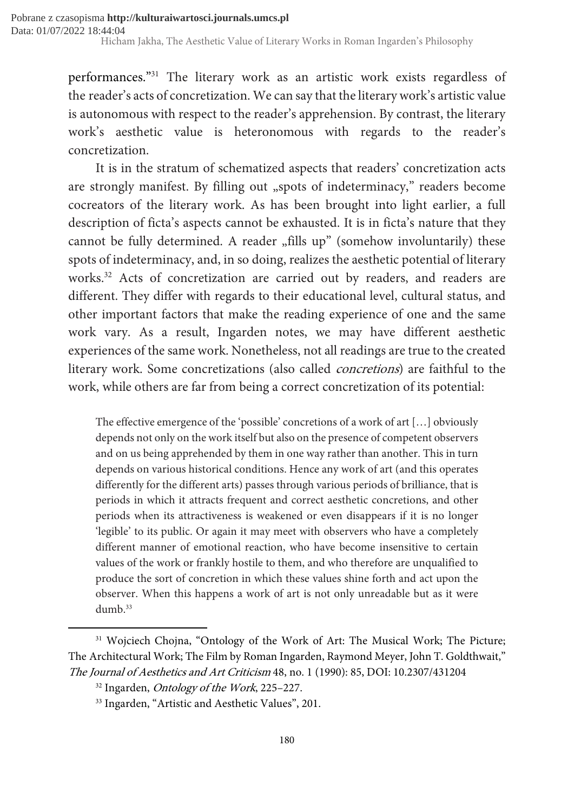performances."<sup>31</sup> The literary work as an artistic work exists regardless of the reader's acts of concretization. We can say that the literary work's artistic value is autonomous with respect to the reader's apprehension. By contrast, the literary work's aesthetic value is heteronomous with regards to the reader's concretization.

It is in the stratum of schematized aspects that readers' concretization acts are strongly manifest. By filling out "spots of indeterminacy," readers become cocreators of the literary work. As has been brought into light earlier, a full description of ficta's aspects cannot be exhausted. It is in ficta's nature that they cannot be fully determined. A reader "fills up" (somehow involuntarily) these spots of indeterminacy, and, in so doing, realizes the aesthetic potential of literary works.<sup>32</sup> Acts of concretization are carried out by readers, and readers are different. They differ with regards to their educational level, cultural status, and other important factors that make the reading experience of one and the same work vary. As a result, Ingarden notes, we may have different aesthetic experiences of the same work. Nonetheless, not all readings are true to the created literary work. Some concretizations (also called concretions) are faithful to the work, while others are far from being a correct concretization of its potential:

The effective emergence of the 'possible' concretions of a work of art […] obviously depends not only on the work itself but also on the presence of competent observers and on us being apprehended by them in one way rather than another. This in turn depends on various historical conditions. Hence any work of art (and this operates differently for the different arts) passes through various periods of brilliance, that is periods in which it attracts frequent and correct aesthetic concretions, and other periods when its attractiveness is weakened or even disappears if it is no longer 'legible' to its public. Or again it may meet with observers who have a completely different manner of emotional reaction, who have become insensitive to certain values of the work or frankly hostile to them, and who therefore are unqualified to produce the sort of concretion in which these values shine forth and act upon the observer. When this happens a work of art is not only unreadable but as it were dumb. $33$ 

<sup>&</sup>lt;sup>31</sup> Wojciech Chojna, "Ontology of the Work of Art: The Musical Work; The Picture; The Architectural Work; The Film by Roman Ingarden, Raymond Meyer, John T. Goldthwait," The Journal of Aesthetics and Art Criticism 48, no. 1 (1990): 85, DOI: 10.2307/431204

<sup>&</sup>lt;sup>32</sup> Ingarden, *Ontology of the Work*, 225-227.

<sup>&</sup>lt;sup>33</sup> Ingarden, "Artistic and Aesthetic Values", 201.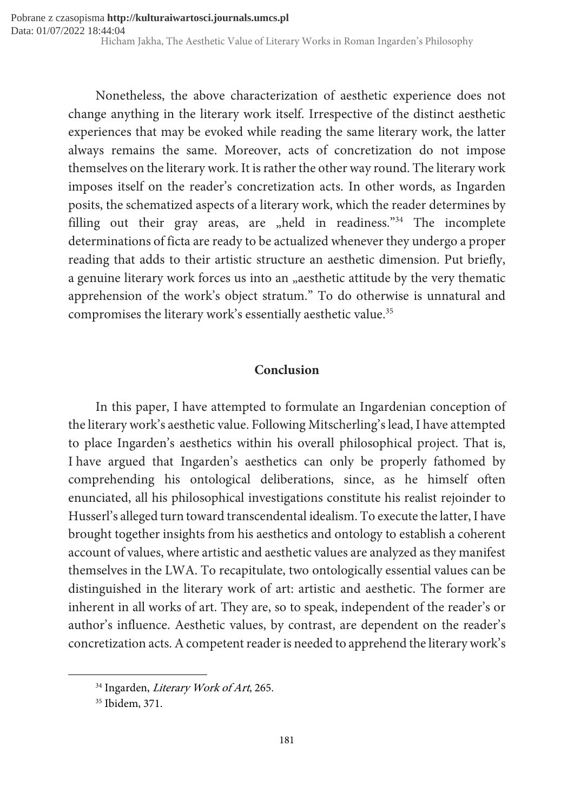Nonetheless, the above characterization of aesthetic experience does not change anything in the literary work itself. Irrespective of the distinct aesthetic experiences that may be evoked while reading the same literary work, the latter always remains the same. Moreover, acts of concretization do not impose themselves on the literary work. It is rather the other way round. The literary work imposes itself on the reader's concretization acts. In other words, as Ingarden posits, the schematized aspects of a literary work, which the reader determines by filling out their gray areas, are  $n$ held in readiness.<sup>"34</sup> The incomplete determinations of ficta are ready to be actualized whenever they undergo a proper reading that adds to their artistic structure an aesthetic dimension. Put briefly, a genuine literary work forces us into an "aesthetic attitude by the very thematic apprehension of the work's object stratum." To do otherwise is unnatural and compromises the literary work's essentially aesthetic value.<sup>35</sup>

### Conclusion

In this paper, I have attempted to formulate an Ingardenian conception of the literary work's aesthetic value. Following Mitscherling's lead, I have attempted to place Ingarden's aesthetics within his overall philosophical project. That is, I have argued that Ingarden's aesthetics can only be properly fathomed by comprehending his ontological deliberations, since, as he himself often enunciated, all his philosophical investigations constitute his realist rejoinder to Husserl's alleged turn toward transcendental idealism. To execute the latter, I have brought together insights from his aesthetics and ontology to establish a coherent account of values, where artistic and aesthetic values are analyzed as they manifest themselves in the LWA. To recapitulate, two ontologically essential values can be distinguished in the literary work of art: artistic and aesthetic. The former are inherent in all works of art. They are, so to speak, independent of the reader's or author's influence. Aesthetic values, by contrast, are dependent on the reader's concretization acts. A competent reader is needed to apprehend the literary work's

<sup>&</sup>lt;sup>34</sup> Ingarden, *Literary Work of Art*, 265.

<sup>35</sup> Ibidem, 371.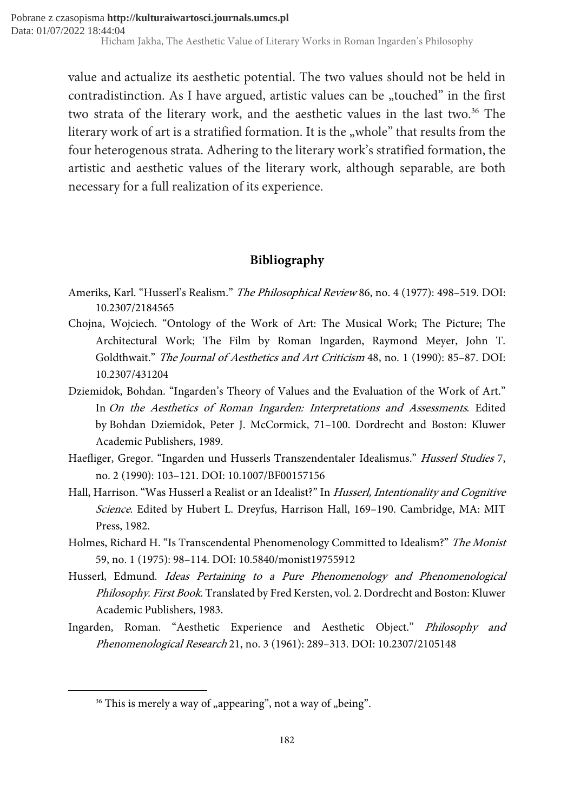value and actualize its aesthetic potential. The two values should not be held in contradistinction. As I have argued, artistic values can be  $,$ touched" in the first two strata of the literary work, and the aesthetic values in the last two.<sup>36</sup> The literary work of art is a stratified formation. It is the "whole" that results from the four heterogenous strata. Adhering to the literary work's stratified formation, the artistic and aesthetic values of the literary work, although separable, are both necessary for a full realization of its experience.

## Bibliography

- Ameriks, Karl. "Husserl's Realism." The Philosophical Review 86, no. 4 (1977): 498-519. DOI: 10.2307/2184565
- Chojna, Wojciech. "Ontology of the Work of Art: The Musical Work; The Picture; The Architectural Work; The Film by Roman Ingarden, Raymond Meyer, John T. Goldthwait." The Journal of Aesthetics and Art Criticism 48, no. 1 (1990): 85–87. DOI: 10.2307/431204
- Dziemidok, Bohdan. "Ingarden's Theory of Values and the Evaluation of the Work of Art." In On the Aesthetics of Roman Ingarden: Interpretations and Assessments. Edited by Bohdan Dziemidok, Peter J. McCormick, 71–100. Dordrecht and Boston: Kluwer Academic Publishers, 1989.
- Haefliger, Gregor. "Ingarden und Husserls Transzendentaler Idealismus." Husserl Studies 7, no. 2 (1990): 103–121. DOI: 10.1007/BF00157156
- Hall, Harrison. "Was Husserl a Realist or an Idealist?" In Husserl, Intentionality and Cognitive Science. Edited by Hubert L. Dreyfus, Harrison Hall, 169–190. Cambridge, MA: MIT Press, 1982.
- Holmes, Richard H. "Is Transcendental Phenomenology Committed to Idealism?" The Monist 59, no. 1 (1975): 98–114. DOI: 10.5840/monist19755912
- Husserl, Edmund. Ideas Pertaining to a Pure Phenomenology and Phenomenological Philosophy. First Book. Translated by Fred Kersten, vol. 2. Dordrecht and Boston: Kluwer Academic Publishers, 1983.
- Ingarden, Roman. "Aesthetic Experience and Aesthetic Object." Philosophy and Phenomenological Research 21, no. 3 (1961): 289–313. DOI: 10.2307/2105148

 $36$  This is merely a way of "appearing", not a way of "being".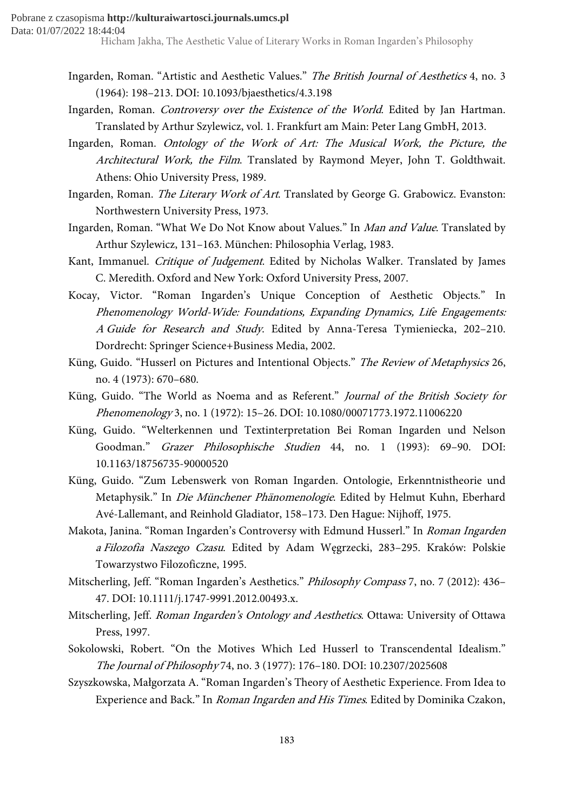- Ingarden, Roman. "Artistic and Aesthetic Values." The British Journal of Aesthetics 4, no. 3 (1964): 198–213. DOI: 10.1093/bjaesthetics/4.3.198
- Ingarden, Roman. Controversy over the Existence of the World. Edited by Jan Hartman. Translated by Arthur Szylewicz, vol. 1. Frankfurt am Main: Peter Lang GmbH, 2013.
- Ingarden, Roman. Ontology of the Work of Art: The Musical Work, the Picture, the Architectural Work, the Film. Translated by Raymond Meyer, John T. Goldthwait. Athens: Ohio University Press, 1989.
- Ingarden, Roman. The Literary Work of Art. Translated by George G. Grabowicz. Evanston: Northwestern University Press, 1973.
- Ingarden, Roman. "What We Do Not Know about Values." In Man and Value. Translated by Arthur Szylewicz, 131–163. München: Philosophia Verlag, 1983.
- Kant, Immanuel. Critique of Judgement. Edited by Nicholas Walker. Translated by James C. Meredith. Oxford and New York: Oxford University Press, 2007.
- Kocay, Victor. "Roman Ingarden's Unique Conception of Aesthetic Objects." In Phenomenology World-Wide: Foundations, Expanding Dynamics, Life Engagements: A Guide for Research and Study. Edited by Anna-Teresa Tymieniecka, 202–210. Dordrecht: Springer Science+Business Media, 2002.
- Küng, Guido. "Husserl on Pictures and Intentional Objects." The Review of Metaphysics 26, no. 4 (1973): 670–680.
- Küng, Guido. "The World as Noema and as Referent." Journal of the British Society for Phenomenology 3, no. 1 (1972): 15–26. DOI: 10.1080/00071773.1972.11006220
- Küng, Guido. "Welterkennen und Textinterpretation Bei Roman Ingarden und Nelson Goodman." Grazer Philosophische Studien 44, no. 1 (1993): 69–90. DOI: 10.1163/18756735-90000520
- Küng, Guido. "Zum Lebenswerk von Roman Ingarden. Ontologie, Erkenntnistheorie und Metaphysik." In Die Münchener Phänomenologie. Edited by Helmut Kuhn, Eberhard Avé-Lallemant, and Reinhold Gladiator, 158–173. Den Hague: Nijhoff, 1975.
- Makota, Janina. "Roman Ingarden's Controversy with Edmund Husserl." In Roman Ingarden a Filozofia Naszego Czasu. Edited by Adam Węgrzecki, 283–295. Kraków: Polskie Towarzystwo Filozoficzne, 1995.
- Mitscherling, Jeff. "Roman Ingarden's Aesthetics." Philosophy Compass 7, no. 7 (2012): 436– 47. DOI: 10.1111/j.1747-9991.2012.00493.x.
- Mitscherling, Jeff. Roman Ingarden's Ontology and Aesthetics. Ottawa: University of Ottawa Press, 1997.
- Sokolowski, Robert. "On the Motives Which Led Husserl to Transcendental Idealism." The Journal of Philosophy 74, no. 3 (1977): 176–180. DOI: 10.2307/2025608
- Szyszkowska, Małgorzata A. "Roman Ingarden's Theory of Aesthetic Experience. From Idea to Experience and Back." In Roman Ingarden and His Times. Edited by Dominika Czakon,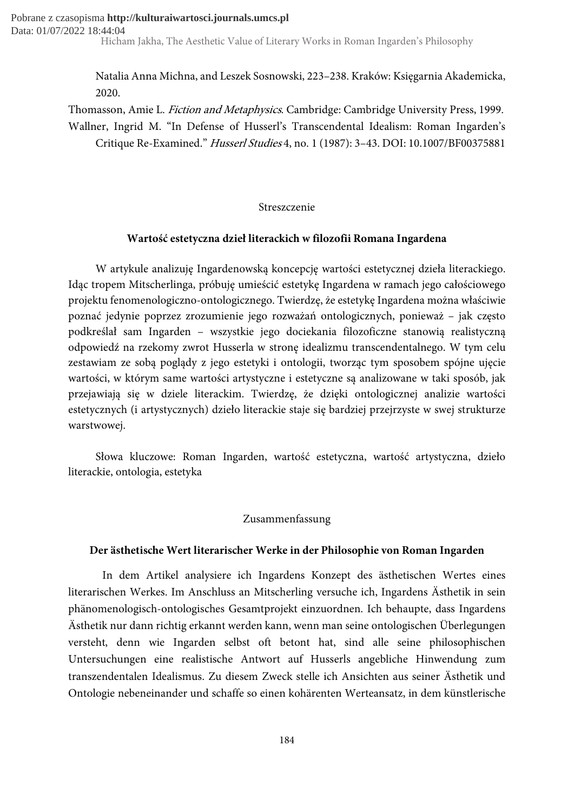> Natalia Anna Michna, and Leszek Sosnowski, 223–238. Kraków: Księgarnia Akademicka, 2020.

Thomasson, Amie L. Fiction and Metaphysics. Cambridge: Cambridge University Press, 1999. Wallner, Ingrid M. "In Defense of Husserl's Transcendental Idealism: Roman Ingarden's Critique Re-Examined." Husserl Studies 4, no. 1 (1987): 3–43. DOI: 10.1007/BF00375881

#### Streszczenie

#### Wartość estetyczna dzieł literackich w filozofii Romana Ingardena

W artykule analizuję Ingardenowską koncepcję wartości estetycznej dzieła literackiego. Idąc tropem Mitscherlinga, próbuję umieścić estetykę Ingardena w ramach jego całościowego projektu fenomenologiczno-ontologicznego. Twierdzę, że estetykę Ingardena można właściwie poznać jedynie poprzez zrozumienie jego rozważań ontologicznych, ponieważ – jak często podkreślał sam Ingarden – wszystkie jego dociekania filozoficzne stanowią realistyczną odpowiedź na rzekomy zwrot Husserla w stronę idealizmu transcendentalnego. W tym celu zestawiam ze sobą poglądy z jego estetyki i ontologii, tworząc tym sposobem spójne ujęcie wartości, w którym same wartości artystyczne i estetyczne są analizowane w taki sposób, jak przejawiają się w dziele literackim. Twierdzę, że dzięki ontologicznej analizie wartości estetycznych (i artystycznych) dzieło literackie staje się bardziej przejrzyste w swej strukturze warstwowej.

Słowa kluczowe: Roman Ingarden, wartość estetyczna, wartość artystyczna, dzieło literackie, ontologia, estetyka

#### Zusammenfassung

#### Der ästhetische Wert literarischer Werke in der Philosophie von Roman Ingarden

In dem Artikel analysiere ich Ingardens Konzept des ästhetischen Wertes eines literarischen Werkes. Im Anschluss an Mitscherling versuche ich, Ingardens Ästhetik in sein phänomenologisch-ontologisches Gesamtprojekt einzuordnen. Ich behaupte, dass Ingardens Ästhetik nur dann richtig erkannt werden kann, wenn man seine ontologischen Überlegungen versteht, denn wie Ingarden selbst oft betont hat, sind alle seine philosophischen Untersuchungen eine realistische Antwort auf Husserls angebliche Hinwendung zum transzendentalen Idealismus. Zu diesem Zweck stelle ich Ansichten aus seiner Ästhetik und Ontologie nebeneinander und schaffe so einen kohärenten Werteansatz, in dem künstlerische